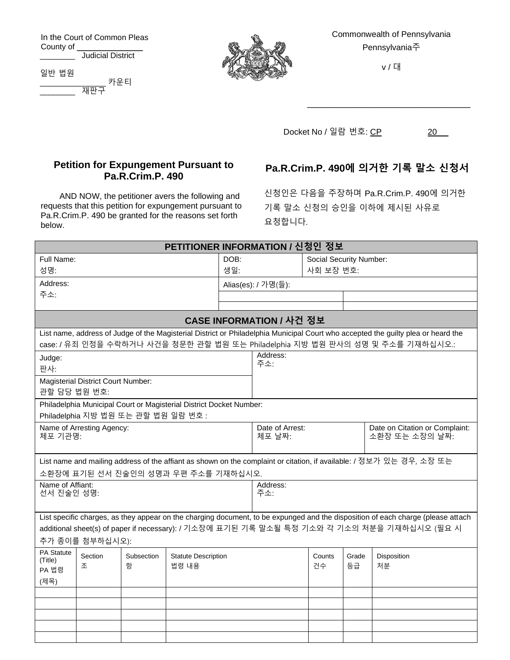In the Court of Common Pleas County of \_\_\_\_\_\_\_\_\_\_\_\_\_\_\_ \_\_\_\_\_\_\_\_ Judicial District

> **Petition for Expungement Pursuant to Pa.R.Crim.P. 490**

AND NOW, the petitioner avers the following and requests that this petition for expungement pursuant to Pa.R.Crim.P. 490 be granted for the reasons set forth

일반 법원 \_\_\_\_\_\_\_\_\_\_\_\_\_\_\_ 카운티  $\overline{\overline{\overline{M}}\overline{\overline{L}}\overline{T}}$ 

below.



Commonwealth of Pennsylvania Pennsylvania주

v / 대

\_\_\_\_\_\_\_\_\_\_\_\_\_\_\_\_\_\_\_\_\_\_\_\_\_\_\_\_\_\_\_\_

Docket No / 일람 번호: <u>CP</u> 20 \_\_

## **Pa.R.Crim.P. 490에 의거한 기록 말소 신청서**

신청인은 다음을 주장하며 Pa.R.Crim.P. 490에 의거한 기록 말소 신청의 승인을 이하에 제시된 사유로 요청합니다.

| PETITIONER INFORMATION / 신청인 정보                                                                                                   |                 |            |                                     |                     |                 |                                |                                |                                                                                                                                  |  |
|-----------------------------------------------------------------------------------------------------------------------------------|-----------------|------------|-------------------------------------|---------------------|-----------------|--------------------------------|--------------------------------|----------------------------------------------------------------------------------------------------------------------------------|--|
| Full Name:                                                                                                                        |                 |            |                                     | DOB:                |                 | <b>Social Security Number:</b> |                                |                                                                                                                                  |  |
| 성명:                                                                                                                               |                 |            |                                     | 생일:                 | 사회 보장 번호:       |                                |                                |                                                                                                                                  |  |
| Address:                                                                                                                          |                 |            |                                     | Alias(es): / 가명(들): |                 |                                |                                |                                                                                                                                  |  |
| 주소:                                                                                                                               |                 |            |                                     |                     |                 |                                |                                |                                                                                                                                  |  |
|                                                                                                                                   |                 |            |                                     |                     |                 |                                |                                |                                                                                                                                  |  |
| CASE INFORMATION / 사건 정보                                                                                                          |                 |            |                                     |                     |                 |                                |                                |                                                                                                                                  |  |
| List name, address of Judge of the Magisterial District or Philadelphia Municipal Court who accepted the guilty plea or heard the |                 |            |                                     |                     |                 |                                |                                |                                                                                                                                  |  |
| case: / 유죄 인정을 수락하거나 사건을 청문한 관할 법원 또는 Philadelphia 지방 법원 판사의 성명 및 주소를 기재하십시오.:                                                    |                 |            |                                     |                     |                 |                                |                                |                                                                                                                                  |  |
| Judge:                                                                                                                            |                 |            |                                     |                     | Address:<br>주소: |                                |                                |                                                                                                                                  |  |
| 판사:                                                                                                                               |                 |            |                                     |                     |                 |                                |                                |                                                                                                                                  |  |
| Magisterial District Court Number:<br>관할 담당 법원 번호:                                                                                |                 |            |                                     |                     |                 |                                |                                |                                                                                                                                  |  |
| Philadelphia Municipal Court or Magisterial District Docket Number:                                                               |                 |            |                                     |                     |                 |                                |                                |                                                                                                                                  |  |
| Philadelphia 지방 법원 또는 관할 법원 일람 번호 :                                                                                               |                 |            |                                     |                     |                 |                                |                                |                                                                                                                                  |  |
| Name of Arresting Agency:                                                                                                         |                 |            |                                     |                     | Date of Arrest: |                                | Date on Citation or Complaint: |                                                                                                                                  |  |
| 체포 기관명:                                                                                                                           |                 |            |                                     |                     | 체포 날짜:          |                                | 소환장 또는 소장의 날짜:                 |                                                                                                                                  |  |
|                                                                                                                                   |                 |            |                                     |                     |                 |                                |                                |                                                                                                                                  |  |
|                                                                                                                                   |                 |            |                                     |                     |                 |                                |                                | List name and mailing address of the affiant as shown on the complaint or citation, if available: / 정보가 있는 경우, 소장 또는             |  |
|                                                                                                                                   |                 |            | 소환장에 표기된 선서 진술인의 성명과 우편 주소를 기재하십시오. |                     |                 |                                |                                |                                                                                                                                  |  |
| Name of Affiant:                                                                                                                  |                 |            |                                     |                     | Address:<br>주소: |                                |                                |                                                                                                                                  |  |
| 선서 진술인 성명:                                                                                                                        |                 |            |                                     |                     |                 |                                |                                |                                                                                                                                  |  |
|                                                                                                                                   |                 |            |                                     |                     |                 |                                |                                | List specific charges, as they appear on the charging document, to be expunged and the disposition of each charge (please attach |  |
|                                                                                                                                   |                 |            |                                     |                     |                 |                                |                                | additional sheet(s) of paper if necessary): / 기소장에 표기된 기록 말소될 특정 기소와 각 기소의 처분을 기재하십시오 (필요 시                                      |  |
|                                                                                                                                   | 추가 종이를 첨부하십시오): |            |                                     |                     |                 |                                |                                |                                                                                                                                  |  |
| PA Statute                                                                                                                        | Section         | Subsection | <b>Statute Description</b>          |                     |                 | Counts                         | Grade                          | Disposition                                                                                                                      |  |
| (Title)                                                                                                                           | 조               | 항          | 법령 내용                               |                     |                 | 건수                             | 등급                             | 처분                                                                                                                               |  |
| PA 법령                                                                                                                             |                 |            |                                     |                     |                 |                                |                                |                                                                                                                                  |  |
| (제목)                                                                                                                              |                 |            |                                     |                     |                 |                                |                                |                                                                                                                                  |  |
|                                                                                                                                   |                 |            |                                     |                     |                 |                                |                                |                                                                                                                                  |  |
|                                                                                                                                   |                 |            |                                     |                     |                 |                                |                                |                                                                                                                                  |  |
|                                                                                                                                   |                 |            |                                     |                     |                 |                                |                                |                                                                                                                                  |  |
|                                                                                                                                   |                 |            |                                     |                     |                 |                                |                                |                                                                                                                                  |  |